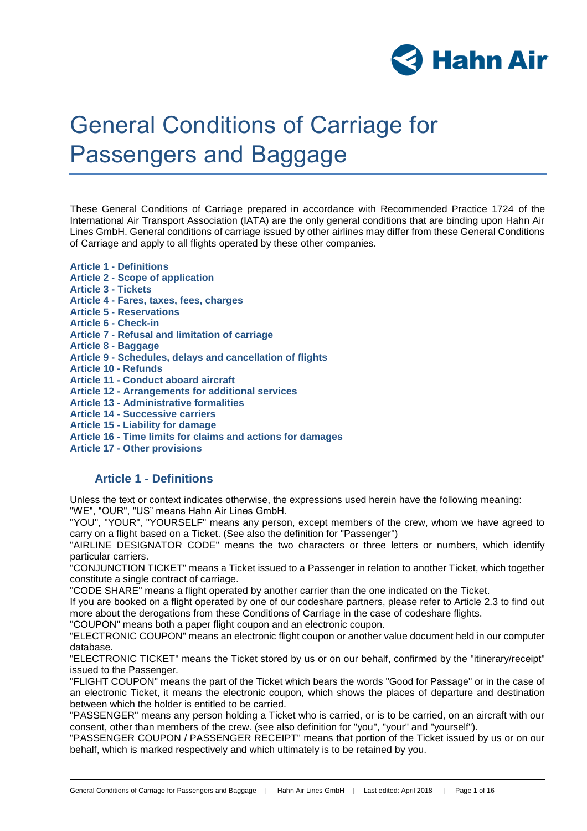

# General Conditions of Carriage for Passengers and Baggage

These General Conditions of Carriage prepared in accordance with Recommended Practice 1724 of the International Air Transport Association (IATA) are the only general conditions that are binding upon Hahn Air Lines GmbH. General conditions of carriage issued by other airlines may differ from these General Conditions of Carriage and apply to all flights operated by these other companies.

- **Article 1 - Definitions**
- **Article 2 - Scope of application**
- **Article 3 - Tickets**
- **Article 4 - Fares, taxes, fees, charges**
- **Article 5 - Reservations**
- **Article 6 - Check-in**
- **Article 7 - Refusal and limitation of carriage**
- **Article 8 - Baggage**
- **Article 9 - Schedules, delays and cancellation of flights**
- **Article 10 - Refunds**
- **Article 11 - Conduct aboard aircraft**
- **Article 12 - Arrangements for additional services**
- **Article 13 - Administrative formalities**
- **Article 14 - Successive carriers**
- **Article 15 - Liability for damage**
- **Article 16 - Time limits for claims and actions for damages**
- **Article 17 - Other provisions**

## **Article 1 - Definitions**

Unless the text or context indicates otherwise, the expressions used herein have the following meaning: "WE", "OUR", "US" means Hahn Air Lines GmbH.

"YOU", "YOUR", "YOURSELF" means any person, except members of the crew, whom we have agreed to carry on a flight based on a Ticket. (See also the definition for "Passenger")

"AIRLINE DESIGNATOR CODE" means the two characters or three letters or numbers, which identify particular carriers.

"CONJUNCTION TICKET" means a Ticket issued to a Passenger in relation to another Ticket, which together constitute a single contract of carriage.

"CODE SHARE" means a flight operated by another carrier than the one indicated on the Ticket.

If you are booked on a flight operated by one of our codeshare partners, please refer to Article 2.3 to find out more about the derogations from these Conditions of Carriage in the case of codeshare flights.

"COUPON" means both a paper flight coupon and an electronic coupon.

"ELECTRONIC COUPON" means an electronic flight coupon or another value document held in our computer database.

"ELECTRONIC TICKET" means the Ticket stored by us or on our behalf, confirmed by the "itinerary/receipt" issued to the Passenger.

"FLIGHT COUPON" means the part of the Ticket which bears the words "Good for Passage" or in the case of an electronic Ticket, it means the electronic coupon, which shows the places of departure and destination between which the holder is entitled to be carried.

"PASSENGER" means any person holding a Ticket who is carried, or is to be carried, on an aircraft with our consent, other than members of the crew. (see also definition for "you", "your" and "yourself").

"PASSENGER COUPON / PASSENGER RECEIPT" means that portion of the Ticket issued by us or on our behalf, which is marked respectively and which ultimately is to be retained by you.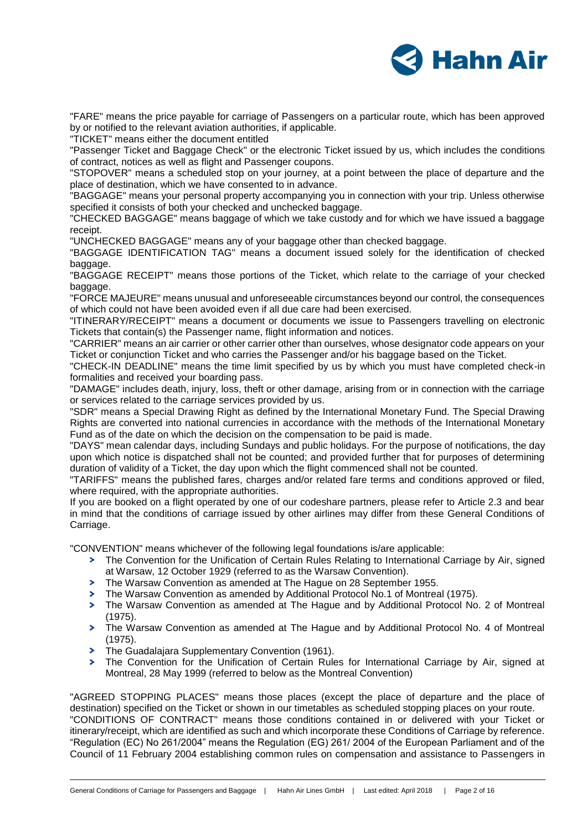

"FARE" means the price payable for carriage of Passengers on a particular route, which has been approved by or notified to the relevant aviation authorities, if applicable.

"TICKET" means either the document entitled

"Passenger Ticket and Baggage Check" or the electronic Ticket issued by us, which includes the conditions of contract, notices as well as flight and Passenger coupons.

"STOPOVER" means a scheduled stop on your journey, at a point between the place of departure and the place of destination, which we have consented to in advance.

"BAGGAGE" means your personal property accompanying you in connection with your trip. Unless otherwise specified it consists of both your checked and unchecked baggage.

"CHECKED BAGGAGE" means baggage of which we take custody and for which we have issued a baggage receipt.

"UNCHECKED BAGGAGE" means any of your baggage other than checked baggage.

"BAGGAGE IDENTIFICATION TAG" means a document issued solely for the identification of checked baggage.

"BAGGAGE RECEIPT" means those portions of the Ticket, which relate to the carriage of your checked baggage.

"FORCE MAJEURE" means unusual and unforeseeable circumstances beyond our control, the consequences of which could not have been avoided even if all due care had been exercised.

"ITINERARY/RECEIPT" means a document or documents we issue to Passengers travelling on electronic Tickets that contain(s) the Passenger name, flight information and notices.

"CARRIER" means an air carrier or other carrier other than ourselves, whose designator code appears on your Ticket or conjunction Ticket and who carries the Passenger and/or his baggage based on the Ticket.

"CHECK-IN DEADLINE" means the time limit specified by us by which you must have completed check-in formalities and received your boarding pass.

"DAMAGE" includes death, injury, loss, theft or other damage, arising from or in connection with the carriage or services related to the carriage services provided by us.

"SDR" means a Special Drawing Right as defined by the International Monetary Fund. The Special Drawing Rights are converted into national currencies in accordance with the methods of the International Monetary Fund as of the date on which the decision on the compensation to be paid is made.

"DAYS" mean calendar days, including Sundays and public holidays. For the purpose of notifications, the day upon which notice is dispatched shall not be counted; and provided further that for purposes of determining duration of validity of a Ticket, the day upon which the flight commenced shall not be counted.

"TARIFFS" means the published fares, charges and/or related fare terms and conditions approved or filed, where required, with the appropriate authorities.

If you are booked on a flight operated by one of our codeshare partners, please refer to Article 2.3 and bear in mind that the conditions of carriage issued by other airlines may differ from these General Conditions of Carriage.

"CONVENTION" means whichever of the following legal foundations is/are applicable:

- The Convention for the Unification of Certain Rules Relating to International Carriage by Air, signed at Warsaw, 12 October 1929 (referred to as the Warsaw Convention).
- $\mathbf{S}^{\pm}$ The Warsaw Convention as amended at The Hague on 28 September 1955.
- $\blacktriangleright$ The Warsaw Convention as amended by Additional Protocol No.1 of Montreal (1975).
- The Warsaw Convention as amended at The Hague and by Additional Protocol No. 2 of Montreal (1975).
- The Warsaw Convention as amended at The Hague and by Additional Protocol No. 4 of Montreal (1975).
- **>** The Guadalajara Supplementary Convention (1961).
- The Convention for the Unification of Certain Rules for International Carriage by Air, signed at Montreal, 28 May 1999 (referred to below as the Montreal Convention)

"AGREED STOPPING PLACES" means those places (except the place of departure and the place of destination) specified on the Ticket or shown in our timetables as scheduled stopping places on your route. "CONDITIONS OF CONTRACT" means those conditions contained in or delivered with your Ticket or itinerary/receipt, which are identified as such and which incorporate these Conditions of Carriage by reference. "Regulation (EC) No 261/2004" means the Regulation (EG) 261/ 2004 of the European Parliament and of the Council of 11 February 2004 establishing common rules on compensation and assistance to Passengers in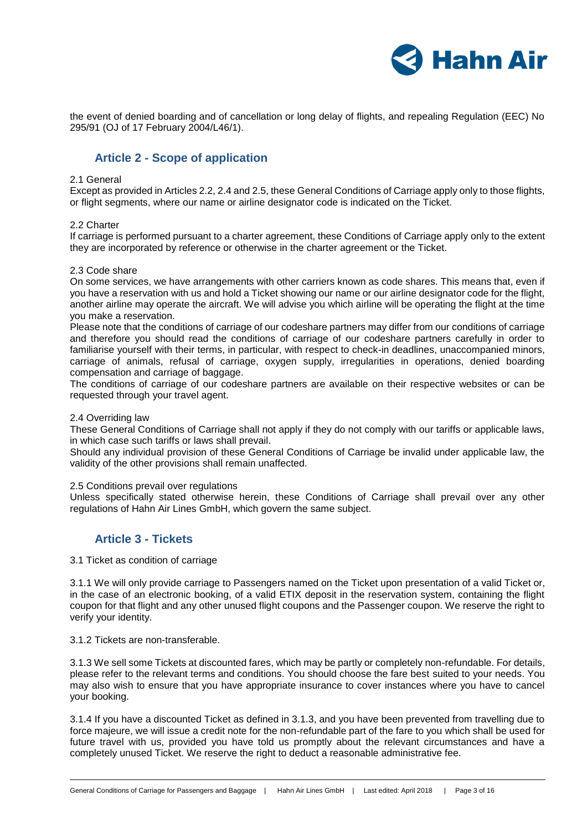

the event of denied boarding and of cancellation or long delay of flights, and repealing Regulation (EEC) No 295/91 (OJ of 17 February 2004/L46/1).

# **Article 2 - Scope of application**

#### 2.1 General

Except as provided in Articles 2.2, 2.4 and 2.5, these General Conditions of Carriage apply only to those flights, or flight segments, where our name or airline designator code is indicated on the Ticket.

## 2.2 Charter

If carriage is performed pursuant to a charter agreement, these Conditions of Carriage apply only to the extent they are incorporated by reference or otherwise in the charter agreement or the Ticket.

#### 2.3 Code share

On some services, we have arrangements with other carriers known as code shares. This means that, even if you have a reservation with us and hold a Ticket showing our name or our airline designator code for the flight, another airline may operate the aircraft. We will advise you which airline will be operating the flight at the time you make a reservation.

Please note that the conditions of carriage of our codeshare partners may differ from our conditions of carriage and therefore you should read the conditions of carriage of our codeshare partners carefully in order to familiarise yourself with their terms, in particular, with respect to check-in deadlines, unaccompanied minors, carriage of animals, refusal of carriage, oxygen supply, irregularities in operations, denied boarding compensation and carriage of baggage.

The conditions of carriage of our codeshare partners are available on their respective websites or can be requested through your travel agent.

## 2.4 Overriding law

These General Conditions of Carriage shall not apply if they do not comply with our tariffs or applicable laws, in which case such tariffs or laws shall prevail.

Should any individual provision of these General Conditions of Carriage be invalid under applicable law, the validity of the other provisions shall remain unaffected.

## 2.5 Conditions prevail over regulations

Unless specifically stated otherwise herein, these Conditions of Carriage shall prevail over any other regulations of Hahn Air Lines GmbH, which govern the same subject.

## **Article 3 - Tickets**

3.1 Ticket as condition of carriage

3.1.1 We will only provide carriage to Passengers named on the Ticket upon presentation of a valid Ticket or, in the case of an electronic booking, of a valid ETIX deposit in the reservation system, containing the flight coupon for that flight and any other unused flight coupons and the Passenger coupon. We reserve the right to verify your identity.

3.1.2 Tickets are non-transferable.

3.1.3 We sell some Tickets at discounted fares, which may be partly or completely non-refundable. For details, please refer to the relevant terms and conditions. You should choose the fare best suited to your needs. You may also wish to ensure that you have appropriate insurance to cover instances where you have to cancel your booking.

3.1.4 If you have a discounted Ticket as defined in 3.1.3, and you have been prevented from travelling due to force majeure, we will issue a credit note for the non-refundable part of the fare to you which shall be used for future travel with us, provided you have told us promptly about the relevant circumstances and have a completely unused Ticket. We reserve the right to deduct a reasonable administrative fee.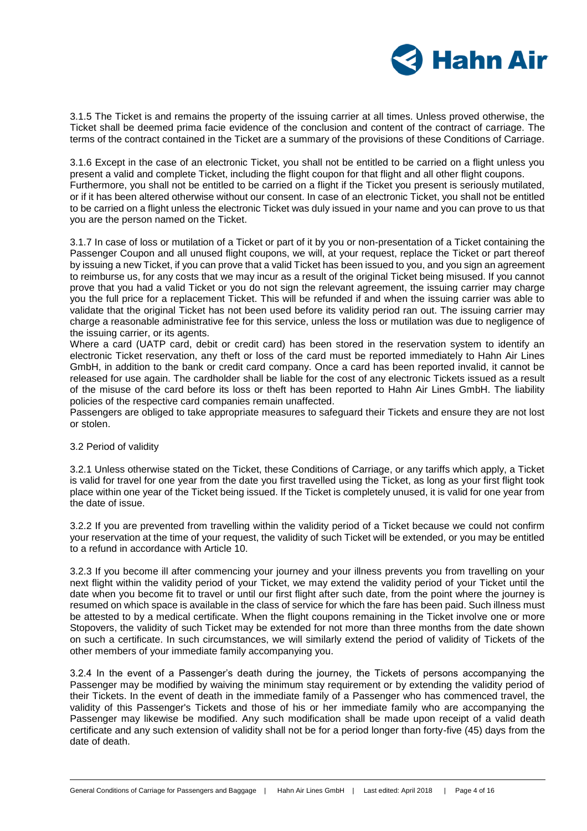

3.1.5 The Ticket is and remains the property of the issuing carrier at all times. Unless proved otherwise, the Ticket shall be deemed prima facie evidence of the conclusion and content of the contract of carriage. The terms of the contract contained in the Ticket are a summary of the provisions of these Conditions of Carriage.

3.1.6 Except in the case of an electronic Ticket, you shall not be entitled to be carried on a flight unless you present a valid and complete Ticket, including the flight coupon for that flight and all other flight coupons. Furthermore, you shall not be entitled to be carried on a flight if the Ticket you present is seriously mutilated, or if it has been altered otherwise without our consent. In case of an electronic Ticket, you shall not be entitled to be carried on a flight unless the electronic Ticket was duly issued in your name and you can prove to us that you are the person named on the Ticket.

3.1.7 In case of loss or mutilation of a Ticket or part of it by you or non-presentation of a Ticket containing the Passenger Coupon and all unused flight coupons, we will, at your request, replace the Ticket or part thereof by issuing a new Ticket, if you can prove that a valid Ticket has been issued to you, and you sign an agreement to reimburse us, for any costs that we may incur as a result of the original Ticket being misused. If you cannot prove that you had a valid Ticket or you do not sign the relevant agreement, the issuing carrier may charge you the full price for a replacement Ticket. This will be refunded if and when the issuing carrier was able to validate that the original Ticket has not been used before its validity period ran out. The issuing carrier may charge a reasonable administrative fee for this service, unless the loss or mutilation was due to negligence of the issuing carrier, or its agents.

Where a card (UATP card, debit or credit card) has been stored in the reservation system to identify an electronic Ticket reservation, any theft or loss of the card must be reported immediately to Hahn Air Lines GmbH, in addition to the bank or credit card company. Once a card has been reported invalid, it cannot be released for use again. The cardholder shall be liable for the cost of any electronic Tickets issued as a result of the misuse of the card before its loss or theft has been reported to Hahn Air Lines GmbH. The liability policies of the respective card companies remain unaffected.

Passengers are obliged to take appropriate measures to safeguard their Tickets and ensure they are not lost or stolen.

## 3.2 Period of validity

3.2.1 Unless otherwise stated on the Ticket, these Conditions of Carriage, or any tariffs which apply, a Ticket is valid for travel for one year from the date you first travelled using the Ticket, as long as your first flight took place within one year of the Ticket being issued. If the Ticket is completely unused, it is valid for one year from the date of issue.

3.2.2 If you are prevented from travelling within the validity period of a Ticket because we could not confirm your reservation at the time of your request, the validity of such Ticket will be extended, or you may be entitled to a refund in accordance with Article 10.

3.2.3 If you become ill after commencing your journey and your illness prevents you from travelling on your next flight within the validity period of your Ticket, we may extend the validity period of your Ticket until the date when you become fit to travel or until our first flight after such date, from the point where the journey is resumed on which space is available in the class of service for which the fare has been paid. Such illness must be attested to by a medical certificate. When the flight coupons remaining in the Ticket involve one or more Stopovers, the validity of such Ticket may be extended for not more than three months from the date shown on such a certificate. In such circumstances, we will similarly extend the period of validity of Tickets of the other members of your immediate family accompanying you.

3.2.4 In the event of a Passenger's death during the journey, the Tickets of persons accompanying the Passenger may be modified by waiving the minimum stay requirement or by extending the validity period of their Tickets. In the event of death in the immediate family of a Passenger who has commenced travel, the validity of this Passenger's Tickets and those of his or her immediate family who are accompanying the Passenger may likewise be modified. Any such modification shall be made upon receipt of a valid death certificate and any such extension of validity shall not be for a period longer than forty-five (45) days from the date of death.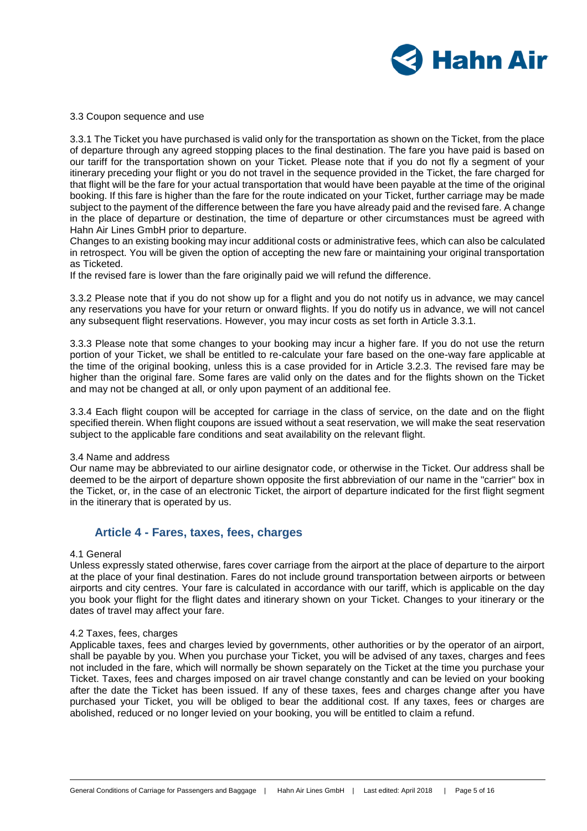

#### 3.3 Coupon sequence and use

3.3.1 The Ticket you have purchased is valid only for the transportation as shown on the Ticket, from the place of departure through any agreed stopping places to the final destination. The fare you have paid is based on our tariff for the transportation shown on your Ticket. Please note that if you do not fly a segment of your itinerary preceding your flight or you do not travel in the sequence provided in the Ticket, the fare charged for that flight will be the fare for your actual transportation that would have been payable at the time of the original booking. If this fare is higher than the fare for the route indicated on your Ticket, further carriage may be made subject to the payment of the difference between the fare you have already paid and the revised fare. A change in the place of departure or destination, the time of departure or other circumstances must be agreed with Hahn Air Lines GmbH prior to departure.

Changes to an existing booking may incur additional costs or administrative fees, which can also be calculated in retrospect. You will be given the option of accepting the new fare or maintaining your original transportation as Ticketed.

If the revised fare is lower than the fare originally paid we will refund the difference.

3.3.2 Please note that if you do not show up for a flight and you do not notify us in advance, we may cancel any reservations you have for your return or onward flights. If you do notify us in advance, we will not cancel any subsequent flight reservations. However, you may incur costs as set forth in Article 3.3.1.

3.3.3 Please note that some changes to your booking may incur a higher fare. If you do not use the return portion of your Ticket, we shall be entitled to re-calculate your fare based on the one-way fare applicable at the time of the original booking, unless this is a case provided for in Article 3.2.3. The revised fare may be higher than the original fare. Some fares are valid only on the dates and for the flights shown on the Ticket and may not be changed at all, or only upon payment of an additional fee.

3.3.4 Each flight coupon will be accepted for carriage in the class of service, on the date and on the flight specified therein. When flight coupons are issued without a seat reservation, we will make the seat reservation subject to the applicable fare conditions and seat availability on the relevant flight.

#### 3.4 Name and address

Our name may be abbreviated to our airline designator code, or otherwise in the Ticket. Our address shall be deemed to be the airport of departure shown opposite the first abbreviation of our name in the "carrier" box in the Ticket, or, in the case of an electronic Ticket, the airport of departure indicated for the first flight segment in the itinerary that is operated by us.

# **Article 4 - Fares, taxes, fees, charges**

#### 4.1 General

Unless expressly stated otherwise, fares cover carriage from the airport at the place of departure to the airport at the place of your final destination. Fares do not include ground transportation between airports or between airports and city centres. Your fare is calculated in accordance with our tariff, which is applicable on the day you book your flight for the flight dates and itinerary shown on your Ticket. Changes to your itinerary or the dates of travel may affect your fare.

#### 4.2 Taxes, fees, charges

Applicable taxes, fees and charges levied by governments, other authorities or by the operator of an airport, shall be payable by you. When you purchase your Ticket, you will be advised of any taxes, charges and fees not included in the fare, which will normally be shown separately on the Ticket at the time you purchase your Ticket. Taxes, fees and charges imposed on air travel change constantly and can be levied on your booking after the date the Ticket has been issued. If any of these taxes, fees and charges change after you have purchased your Ticket, you will be obliged to bear the additional cost. If any taxes, fees or charges are abolished, reduced or no longer levied on your booking, you will be entitled to claim a refund.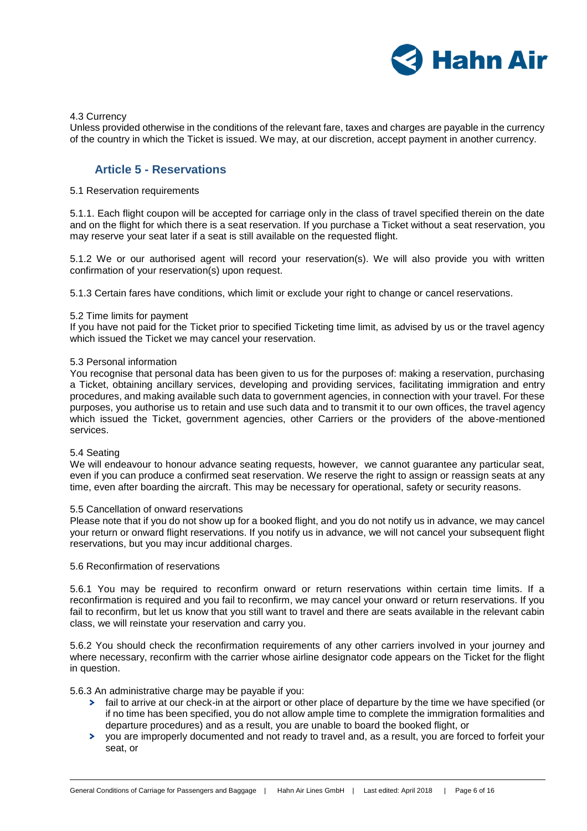

#### 4.3 Currency

Unless provided otherwise in the conditions of the relevant fare, taxes and charges are payable in the currency of the country in which the Ticket is issued. We may, at our discretion, accept payment in another currency.

# **Article 5 - Reservations**

#### 5.1 Reservation requirements

5.1.1. Each flight coupon will be accepted for carriage only in the class of travel specified therein on the date and on the flight for which there is a seat reservation. If you purchase a Ticket without a seat reservation, you may reserve your seat later if a seat is still available on the requested flight.

5.1.2 We or our authorised agent will record your reservation(s). We will also provide you with written confirmation of your reservation(s) upon request.

5.1.3 Certain fares have conditions, which limit or exclude your right to change or cancel reservations.

#### 5.2 Time limits for payment

If you have not paid for the Ticket prior to specified Ticketing time limit, as advised by us or the travel agency which issued the Ticket we may cancel your reservation.

#### 5.3 Personal information

You recognise that personal data has been given to us for the purposes of: making a reservation, purchasing a Ticket, obtaining ancillary services, developing and providing services, facilitating immigration and entry procedures, and making available such data to government agencies, in connection with your travel. For these purposes, you authorise us to retain and use such data and to transmit it to our own offices, the travel agency which issued the Ticket, government agencies, other Carriers or the providers of the above-mentioned services.

## 5.4 Seating

We will endeavour to honour advance seating requests, however, we cannot guarantee any particular seat, even if you can produce a confirmed seat reservation. We reserve the right to assign or reassign seats at any time, even after boarding the aircraft. This may be necessary for operational, safety or security reasons.

#### 5.5 Cancellation of onward reservations

Please note that if you do not show up for a booked flight, and you do not notify us in advance, we may cancel your return or onward flight reservations. If you notify us in advance, we will not cancel your subsequent flight reservations, but you may incur additional charges.

## 5.6 Reconfirmation of reservations

5.6.1 You may be required to reconfirm onward or return reservations within certain time limits. If a reconfirmation is required and you fail to reconfirm, we may cancel your onward or return reservations. If you fail to reconfirm, but let us know that you still want to travel and there are seats available in the relevant cabin class, we will reinstate your reservation and carry you.

5.6.2 You should check the reconfirmation requirements of any other carriers involved in your journey and where necessary, reconfirm with the carrier whose airline designator code appears on the Ticket for the flight in question.

5.6.3 An administrative charge may be payable if you:

- > fail to arrive at our check-in at the airport or other place of departure by the time we have specified (or if no time has been specified, you do not allow ample time to complete the immigration formalities and departure procedures) and as a result, you are unable to board the booked flight, or
- you are improperly documented and not ready to travel and, as a result, you are forced to forfeit your seat, or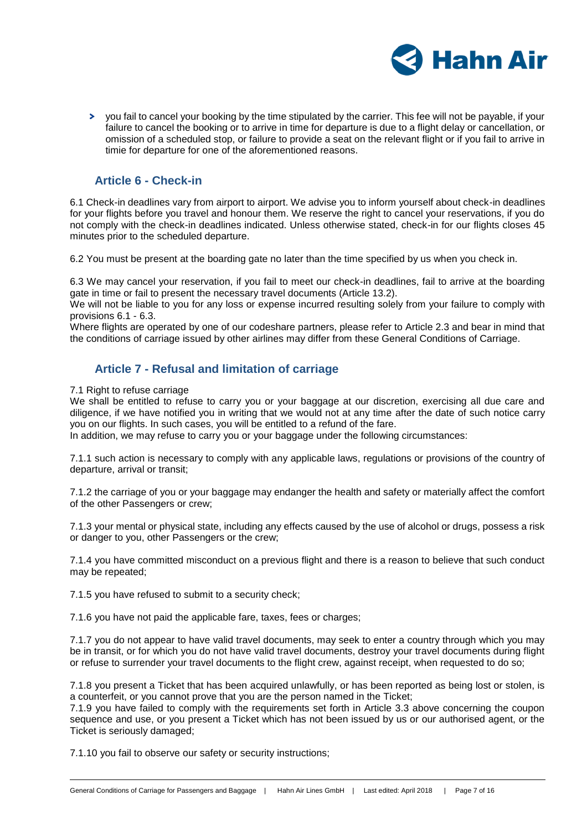

you fail to cancel your booking by the time stipulated by the carrier. This fee will not be payable, if your failure to cancel the booking or to arrive in time for departure is due to a flight delay or cancellation, or omission of a scheduled stop, or failure to provide a seat on the relevant flight or if you fail to arrive in timie for departure for one of the aforementioned reasons.

# **Article 6 - Check-in**

6.1 Check-in deadlines vary from airport to airport. We advise you to inform yourself about check-in deadlines for your flights before you travel and honour them. We reserve the right to cancel your reservations, if you do not comply with the check-in deadlines indicated. Unless otherwise stated, check-in for our flights closes 45 minutes prior to the scheduled departure.

6.2 You must be present at the boarding gate no later than the time specified by us when you check in.

6.3 We may cancel your reservation, if you fail to meet our check-in deadlines, fail to arrive at the boarding gate in time or fail to present the necessary travel documents (Article 13.2).

We will not be liable to you for any loss or expense incurred resulting solely from your failure to comply with provisions 6.1 - 6.3.

Where flights are operated by one of our codeshare partners, please refer to Article 2.3 and bear in mind that the conditions of carriage issued by other airlines may differ from these General Conditions of Carriage.

# **Article 7 - Refusal and limitation of carriage**

7.1 Right to refuse carriage

We shall be entitled to refuse to carry you or your baggage at our discretion, exercising all due care and diligence, if we have notified you in writing that we would not at any time after the date of such notice carry you on our flights. In such cases, you will be entitled to a refund of the fare.

In addition, we may refuse to carry you or your baggage under the following circumstances:

7.1.1 such action is necessary to comply with any applicable laws, regulations or provisions of the country of departure, arrival or transit;

7.1.2 the carriage of you or your baggage may endanger the health and safety or materially affect the comfort of the other Passengers or crew;

7.1.3 your mental or physical state, including any effects caused by the use of alcohol or drugs, possess a risk or danger to you, other Passengers or the crew;

7.1.4 you have committed misconduct on a previous flight and there is a reason to believe that such conduct may be repeated;

7.1.5 you have refused to submit to a security check;

7.1.6 you have not paid the applicable fare, taxes, fees or charges;

7.1.7 you do not appear to have valid travel documents, may seek to enter a country through which you may be in transit, or for which you do not have valid travel documents, destroy your travel documents during flight or refuse to surrender your travel documents to the flight crew, against receipt, when requested to do so;

7.1.8 you present a Ticket that has been acquired unlawfully, or has been reported as being lost or stolen, is a counterfeit, or you cannot prove that you are the person named in the Ticket;

7.1.9 you have failed to comply with the requirements set forth in Article 3.3 above concerning the coupon sequence and use, or you present a Ticket which has not been issued by us or our authorised agent, or the Ticket is seriously damaged;

7.1.10 you fail to observe our safety or security instructions;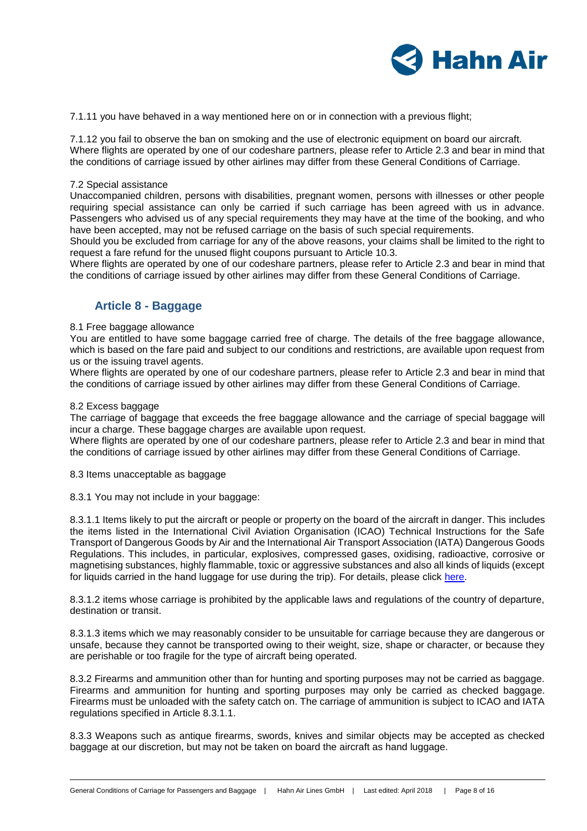

7.1.11 you have behaved in a way mentioned here on or in connection with a previous flight;

7.1.12 you fail to observe the ban on smoking and the use of electronic equipment on board our aircraft. Where flights are operated by one of our codeshare partners, please refer to Article 2.3 and bear in mind that the conditions of carriage issued by other airlines may differ from these General Conditions of Carriage.

#### 7.2 Special assistance

Unaccompanied children, persons with disabilities, pregnant women, persons with illnesses or other people requiring special assistance can only be carried if such carriage has been agreed with us in advance. Passengers who advised us of any special requirements they may have at the time of the booking, and who have been accepted, may not be refused carriage on the basis of such special requirements.

Should you be excluded from carriage for any of the above reasons, your claims shall be limited to the right to request a fare refund for the unused flight coupons pursuant to Article 10.3.

Where flights are operated by one of our codeshare partners, please refer to Article 2.3 and bear in mind that the conditions of carriage issued by other airlines may differ from these General Conditions of Carriage.

# **Article 8 - Baggage**

#### 8.1 Free baggage allowance

You are entitled to have some baggage carried free of charge. The details of the free baggage allowance, which is based on the fare paid and subject to our conditions and restrictions, are available upon request from us or the issuing travel agents.

Where flights are operated by one of our codeshare partners, please refer to Article 2.3 and bear in mind that the conditions of carriage issued by other airlines may differ from these General Conditions of Carriage.

#### 8.2 Excess baggage

The carriage of baggage that exceeds the free baggage allowance and the carriage of special baggage will incur a charge. These baggage charges are available upon request.

Where flights are operated by one of our codeshare partners, please refer to Article 2.3 and bear in mind that the conditions of carriage issued by other airlines may differ from these General Conditions of Carriage.

8.3 Items unacceptable as baggage

8.3.1 You may not include in your baggage:

8.3.1.1 Items likely to put the aircraft or people or property on the board of the aircraft in danger. This includes the items listed in the International Civil Aviation Organisation (ICAO) Technical Instructions for the Safe Transport of Dangerous Goods by Air and the International Air Transport Association (IATA) Dangerous Goods Regulations. This includes, in particular, explosives, compressed gases, oxidising, radioactive, corrosive or magnetising substances, highly flammable, toxic or aggressive substances and also all kinds of liquids (except for liquids carried in the hand luggage for use during the trip). For details, please click [here.](http://www.hahnair.com/download/en/bc97430f177430dd528bb1fab06587da/587)

8.3.1.2 items whose carriage is prohibited by the applicable laws and regulations of the country of departure, destination or transit.

8.3.1.3 items which we may reasonably consider to be unsuitable for carriage because they are dangerous or unsafe, because they cannot be transported owing to their weight, size, shape or character, or because they are perishable or too fragile for the type of aircraft being operated.

8.3.2 Firearms and ammunition other than for hunting and sporting purposes may not be carried as baggage. Firearms and ammunition for hunting and sporting purposes may only be carried as checked baggage. Firearms must be unloaded with the safety catch on. The carriage of ammunition is subject to ICAO and IATA regulations specified in Article 8.3.1.1.

8.3.3 Weapons such as antique firearms, swords, knives and similar objects may be accepted as checked baggage at our discretion, but may not be taken on board the aircraft as hand luggage.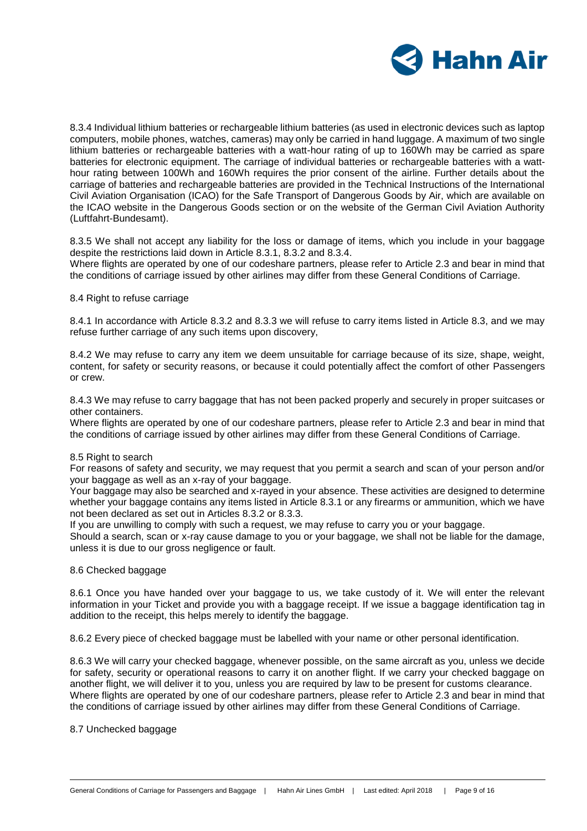

8.3.4 Individual lithium batteries or rechargeable lithium batteries (as used in electronic devices such as laptop computers, mobile phones, watches, cameras) may only be carried in hand luggage. A maximum of two single lithium batteries or rechargeable batteries with a watt-hour rating of up to 160Wh may be carried as spare batteries for electronic equipment. The carriage of individual batteries or rechargeable batteries with a watthour rating between 100Wh and 160Wh requires the prior consent of the airline. Further details about the carriage of batteries and rechargeable batteries are provided in the Technical Instructions of the International Civil Aviation Organisation (ICAO) for the Safe Transport of Dangerous Goods by Air, which are available on the ICAO website in the Dangerous Goods section or on the website of the German Civil Aviation Authority (Luftfahrt-Bundesamt).

8.3.5 We shall not accept any liability for the loss or damage of items, which you include in your baggage despite the restrictions laid down in Article 8.3.1, 8.3.2 and 8.3.4.

Where flights are operated by one of our codeshare partners, please refer to Article 2.3 and bear in mind that the conditions of carriage issued by other airlines may differ from these General Conditions of Carriage.

#### 8.4 Right to refuse carriage

8.4.1 In accordance with Article 8.3.2 and 8.3.3 we will refuse to carry items listed in Article 8.3, and we may refuse further carriage of any such items upon discovery,

8.4.2 We may refuse to carry any item we deem unsuitable for carriage because of its size, shape, weight, content, for safety or security reasons, or because it could potentially affect the comfort of other Passengers or crew.

8.4.3 We may refuse to carry baggage that has not been packed properly and securely in proper suitcases or other containers.

Where flights are operated by one of our codeshare partners, please refer to Article 2.3 and bear in mind that the conditions of carriage issued by other airlines may differ from these General Conditions of Carriage.

#### 8.5 Right to search

For reasons of safety and security, we may request that you permit a search and scan of your person and/or your baggage as well as an x-ray of your baggage.

Your baggage may also be searched and x-rayed in your absence. These activities are designed to determine whether your baggage contains any items listed in Article 8.3.1 or any firearms or ammunition, which we have not been declared as set out in Articles 8.3.2 or 8.3.3.

If you are unwilling to comply with such a request, we may refuse to carry you or your baggage.

Should a search, scan or x-ray cause damage to you or your baggage, we shall not be liable for the damage, unless it is due to our gross negligence or fault.

#### 8.6 Checked baggage

8.6.1 Once you have handed over your baggage to us, we take custody of it. We will enter the relevant information in your Ticket and provide you with a baggage receipt. If we issue a baggage identification tag in addition to the receipt, this helps merely to identify the baggage.

8.6.2 Every piece of checked baggage must be labelled with your name or other personal identification.

8.6.3 We will carry your checked baggage, whenever possible, on the same aircraft as you, unless we decide for safety, security or operational reasons to carry it on another flight. If we carry your checked baggage on another flight, we will deliver it to you, unless you are required by law to be present for customs clearance. Where flights are operated by one of our codeshare partners, please refer to Article 2.3 and bear in mind that the conditions of carriage issued by other airlines may differ from these General Conditions of Carriage.

## 8.7 Unchecked baggage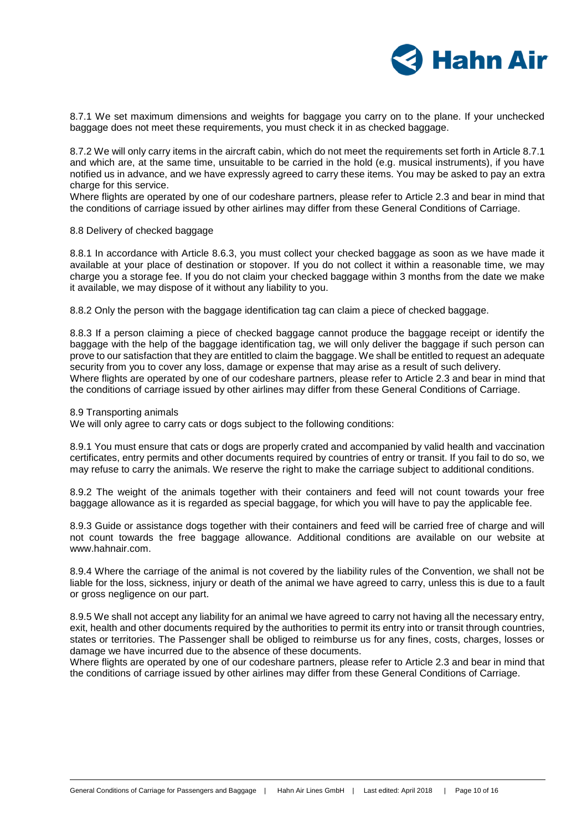

8.7.1 We set maximum dimensions and weights for baggage you carry on to the plane. If your unchecked baggage does not meet these requirements, you must check it in as checked baggage.

8.7.2 We will only carry items in the aircraft cabin, which do not meet the requirements set forth in Article 8.7.1 and which are, at the same time, unsuitable to be carried in the hold (e.g. musical instruments), if you have notified us in advance, and we have expressly agreed to carry these items. You may be asked to pay an extra charge for this service.

Where flights are operated by one of our codeshare partners, please refer to Article 2.3 and bear in mind that the conditions of carriage issued by other airlines may differ from these General Conditions of Carriage.

#### 8.8 Delivery of checked baggage

8.8.1 In accordance with Article 8.6.3, you must collect your checked baggage as soon as we have made it available at your place of destination or stopover. If you do not collect it within a reasonable time, we may charge you a storage fee. If you do not claim your checked baggage within 3 months from the date we make it available, we may dispose of it without any liability to you.

8.8.2 Only the person with the baggage identification tag can claim a piece of checked baggage.

8.8.3 If a person claiming a piece of checked baggage cannot produce the baggage receipt or identify the baggage with the help of the baggage identification tag, we will only deliver the baggage if such person can prove to our satisfaction that they are entitled to claim the baggage. We shall be entitled to request an adequate security from you to cover any loss, damage or expense that may arise as a result of such delivery. Where flights are operated by one of our codeshare partners, please refer to Article 2.3 and bear in mind that the conditions of carriage issued by other airlines may differ from these General Conditions of Carriage.

8.9 Transporting animals

We will only agree to carry cats or dogs subject to the following conditions:

8.9.1 You must ensure that cats or dogs are properly crated and accompanied by valid health and vaccination certificates, entry permits and other documents required by countries of entry or transit. If you fail to do so, we may refuse to carry the animals. We reserve the right to make the carriage subject to additional conditions.

8.9.2 The weight of the animals together with their containers and feed will not count towards your free baggage allowance as it is regarded as special baggage, for which you will have to pay the applicable fee.

8.9.3 Guide or assistance dogs together with their containers and feed will be carried free of charge and will not count towards the free baggage allowance. Additional conditions are available on our website at www.hahnair.com.

8.9.4 Where the carriage of the animal is not covered by the liability rules of the Convention, we shall not be liable for the loss, sickness, injury or death of the animal we have agreed to carry, unless this is due to a fault or gross negligence on our part.

8.9.5 We shall not accept any liability for an animal we have agreed to carry not having all the necessary entry, exit, health and other documents required by the authorities to permit its entry into or transit through countries, states or territories. The Passenger shall be obliged to reimburse us for any fines, costs, charges, losses or damage we have incurred due to the absence of these documents.

Where flights are operated by one of our codeshare partners, please refer to Article 2.3 and bear in mind that the conditions of carriage issued by other airlines may differ from these General Conditions of Carriage.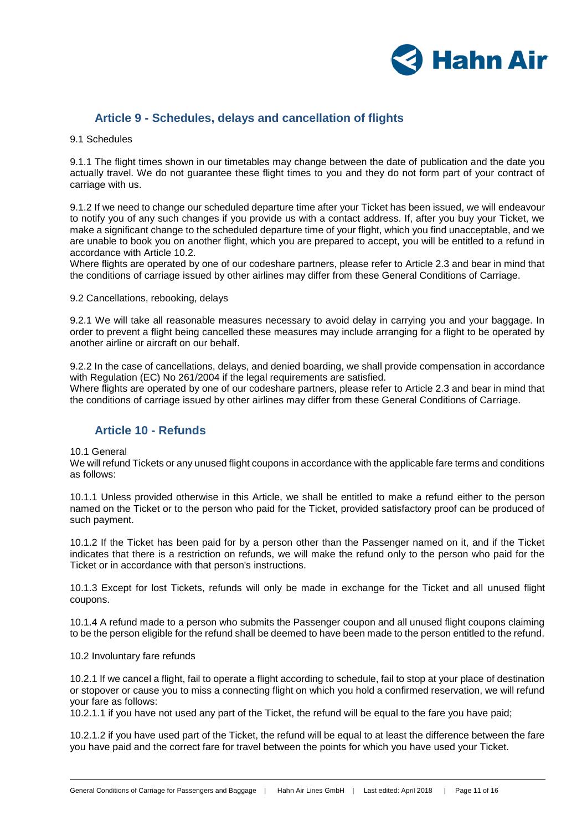

# **Article 9 - Schedules, delays and cancellation of flights**

9.1 Schedules

9.1.1 The flight times shown in our timetables may change between the date of publication and the date you actually travel. We do not guarantee these flight times to you and they do not form part of your contract of carriage with us.

9.1.2 If we need to change our scheduled departure time after your Ticket has been issued, we will endeavour to notify you of any such changes if you provide us with a contact address. If, after you buy your Ticket, we make a significant change to the scheduled departure time of your flight, which you find unacceptable, and we are unable to book you on another flight, which you are prepared to accept, you will be entitled to a refund in accordance with Article 10.2.

Where flights are operated by one of our codeshare partners, please refer to Article 2.3 and bear in mind that the conditions of carriage issued by other airlines may differ from these General Conditions of Carriage.

9.2 Cancellations, rebooking, delays

9.2.1 We will take all reasonable measures necessary to avoid delay in carrying you and your baggage. In order to prevent a flight being cancelled these measures may include arranging for a flight to be operated by another airline or aircraft on our behalf.

9.2.2 In the case of cancellations, delays, and denied boarding, we shall provide compensation in accordance with Regulation (EC) No 261/2004 if the legal requirements are satisfied. Where flights are operated by one of our codeshare partners, please refer to Article 2.3 and bear in mind that the conditions of carriage issued by other airlines may differ from these General Conditions of Carriage.

# **Article 10 - Refunds**

10.1 General

We will refund Tickets or any unused flight coupons in accordance with the applicable fare terms and conditions as follows:

10.1.1 Unless provided otherwise in this Article, we shall be entitled to make a refund either to the person named on the Ticket or to the person who paid for the Ticket, provided satisfactory proof can be produced of such payment.

10.1.2 If the Ticket has been paid for by a person other than the Passenger named on it, and if the Ticket indicates that there is a restriction on refunds, we will make the refund only to the person who paid for the Ticket or in accordance with that person's instructions.

10.1.3 Except for lost Tickets, refunds will only be made in exchange for the Ticket and all unused flight coupons.

10.1.4 A refund made to a person who submits the Passenger coupon and all unused flight coupons claiming to be the person eligible for the refund shall be deemed to have been made to the person entitled to the refund.

10.2 Involuntary fare refunds

10.2.1 If we cancel a flight, fail to operate a flight according to schedule, fail to stop at your place of destination or stopover or cause you to miss a connecting flight on which you hold a confirmed reservation, we will refund your fare as follows:

10.2.1.1 if you have not used any part of the Ticket, the refund will be equal to the fare you have paid;

10.2.1.2 if you have used part of the Ticket, the refund will be equal to at least the difference between the fare you have paid and the correct fare for travel between the points for which you have used your Ticket.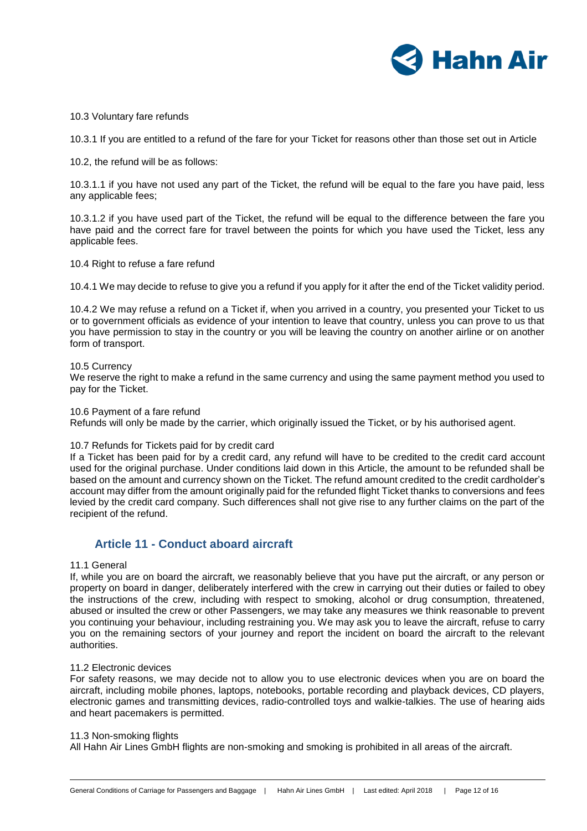

10.3 Voluntary fare refunds

10.3.1 If you are entitled to a refund of the fare for your Ticket for reasons other than those set out in Article

10.2, the refund will be as follows:

10.3.1.1 if you have not used any part of the Ticket, the refund will be equal to the fare you have paid, less any applicable fees;

10.3.1.2 if you have used part of the Ticket, the refund will be equal to the difference between the fare you have paid and the correct fare for travel between the points for which you have used the Ticket, less any applicable fees.

10.4 Right to refuse a fare refund

10.4.1 We may decide to refuse to give you a refund if you apply for it after the end of the Ticket validity period.

10.4.2 We may refuse a refund on a Ticket if, when you arrived in a country, you presented your Ticket to us or to government officials as evidence of your intention to leave that country, unless you can prove to us that you have permission to stay in the country or you will be leaving the country on another airline or on another form of transport.

#### 10.5 Currency

We reserve the right to make a refund in the same currency and using the same payment method you used to pay for the Ticket.

10.6 Payment of a fare refund

Refunds will only be made by the carrier, which originally issued the Ticket, or by his authorised agent.

#### 10.7 Refunds for Tickets paid for by credit card

If a Ticket has been paid for by a credit card, any refund will have to be credited to the credit card account used for the original purchase. Under conditions laid down in this Article, the amount to be refunded shall be based on the amount and currency shown on the Ticket. The refund amount credited to the credit cardholder's account may differ from the amount originally paid for the refunded flight Ticket thanks to conversions and fees levied by the credit card company. Such differences shall not give rise to any further claims on the part of the recipient of the refund.

# **Article 11 - Conduct aboard aircraft**

## 11.1 General

If, while you are on board the aircraft, we reasonably believe that you have put the aircraft, or any person or property on board in danger, deliberately interfered with the crew in carrying out their duties or failed to obey the instructions of the crew, including with respect to smoking, alcohol or drug consumption, threatened, abused or insulted the crew or other Passengers, we may take any measures we think reasonable to prevent you continuing your behaviour, including restraining you. We may ask you to leave the aircraft, refuse to carry you on the remaining sectors of your journey and report the incident on board the aircraft to the relevant authorities.

#### 11.2 Electronic devices

For safety reasons, we may decide not to allow you to use electronic devices when you are on board the aircraft, including mobile phones, laptops, notebooks, portable recording and playback devices, CD players, electronic games and transmitting devices, radio-controlled toys and walkie-talkies. The use of hearing aids and heart pacemakers is permitted.

#### 11.3 Non-smoking flights

All Hahn Air Lines GmbH flights are non-smoking and smoking is prohibited in all areas of the aircraft.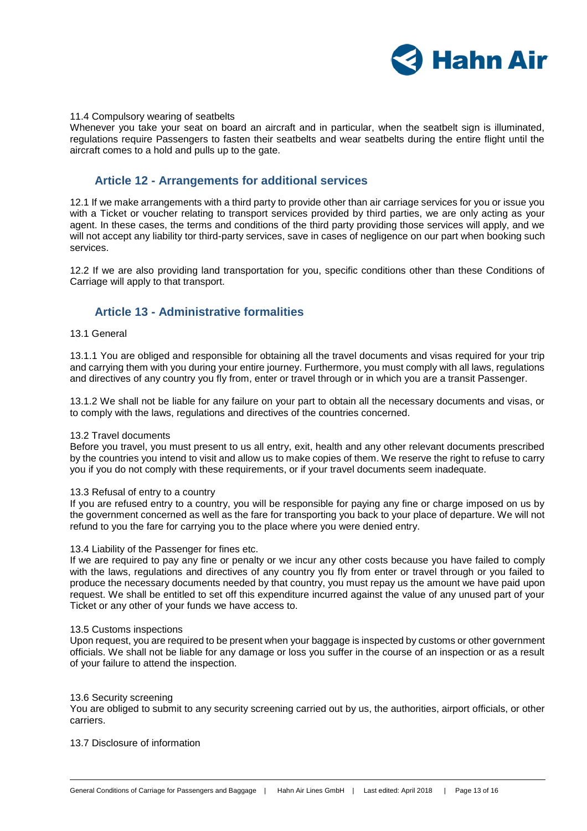

#### 11.4 Compulsory wearing of seatbelts

Whenever you take your seat on board an aircraft and in particular, when the seatbelt sign is illuminated, regulations require Passengers to fasten their seatbelts and wear seatbelts during the entire flight until the aircraft comes to a hold and pulls up to the gate.

## **Article 12 - Arrangements for additional services**

12.1 If we make arrangements with a third party to provide other than air carriage services for you or issue you with a Ticket or voucher relating to transport services provided by third parties, we are only acting as your agent. In these cases, the terms and conditions of the third party providing those services will apply, and we will not accept any liability tor third-party services, save in cases of negligence on our part when booking such services.

12.2 If we are also providing land transportation for you, specific conditions other than these Conditions of Carriage will apply to that transport.

## **Article 13 - Administrative formalities**

#### 13.1 General

13.1.1 You are obliged and responsible for obtaining all the travel documents and visas required for your trip and carrying them with you during your entire journey. Furthermore, you must comply with all laws, regulations and directives of any country you fly from, enter or travel through or in which you are a transit Passenger.

13.1.2 We shall not be liable for any failure on your part to obtain all the necessary documents and visas, or to comply with the laws, regulations and directives of the countries concerned.

#### 13.2 Travel documents

Before you travel, you must present to us all entry, exit, health and any other relevant documents prescribed by the countries you intend to visit and allow us to make copies of them. We reserve the right to refuse to carry you if you do not comply with these requirements, or if your travel documents seem inadequate.

#### 13.3 Refusal of entry to a country

If you are refused entry to a country, you will be responsible for paying any fine or charge imposed on us by the government concerned as well as the fare for transporting you back to your place of departure. We will not refund to you the fare for carrying you to the place where you were denied entry.

#### 13.4 Liability of the Passenger for fines etc.

If we are required to pay any fine or penalty or we incur any other costs because you have failed to comply with the laws, regulations and directives of any country you fly from enter or travel through or you failed to produce the necessary documents needed by that country, you must repay us the amount we have paid upon request. We shall be entitled to set off this expenditure incurred against the value of any unused part of your Ticket or any other of your funds we have access to.

#### 13.5 Customs inspections

Upon request, you are required to be present when your baggage is inspected by customs or other government officials. We shall not be liable for any damage or loss you suffer in the course of an inspection or as a result of your failure to attend the inspection.

#### 13.6 Security screening

You are obliged to submit to any security screening carried out by us, the authorities, airport officials, or other carriers.

## 13.7 Disclosure of information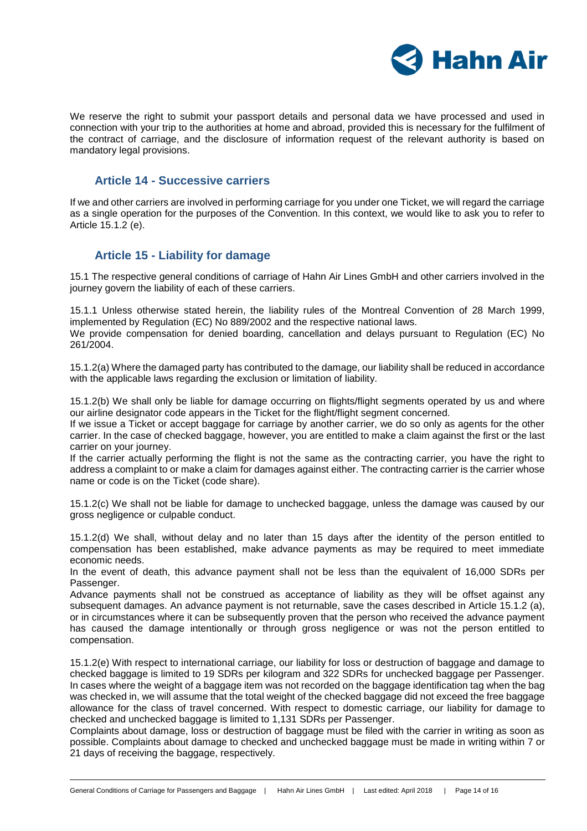

We reserve the right to submit your passport details and personal data we have processed and used in connection with your trip to the authorities at home and abroad, provided this is necessary for the fulfilment of the contract of carriage, and the disclosure of information request of the relevant authority is based on mandatory legal provisions.

## **Article 14 - Successive carriers**

If we and other carriers are involved in performing carriage for you under one Ticket, we will regard the carriage as a single operation for the purposes of the Convention. In this context, we would like to ask you to refer to Article 15.1.2 (e).

# **Article 15 - Liability for damage**

15.1 The respective general conditions of carriage of Hahn Air Lines GmbH and other carriers involved in the journey govern the liability of each of these carriers.

15.1.1 Unless otherwise stated herein, the liability rules of the Montreal Convention of 28 March 1999, implemented by Regulation (EC) No 889/2002 and the respective national laws.

We provide compensation for denied boarding, cancellation and delays pursuant to Regulation (EC) No 261/2004.

15.1.2(a) Where the damaged party has contributed to the damage, our liability shall be reduced in accordance with the applicable laws regarding the exclusion or limitation of liability.

15.1.2(b) We shall only be liable for damage occurring on flights/flight segments operated by us and where our airline designator code appears in the Ticket for the flight/flight segment concerned.

If we issue a Ticket or accept baggage for carriage by another carrier, we do so only as agents for the other carrier. In the case of checked baggage, however, you are entitled to make a claim against the first or the last carrier on your journey.

If the carrier actually performing the flight is not the same as the contracting carrier, you have the right to address a complaint to or make a claim for damages against either. The contracting carrier is the carrier whose name or code is on the Ticket (code share).

15.1.2(c) We shall not be liable for damage to unchecked baggage, unless the damage was caused by our gross negligence or culpable conduct.

15.1.2(d) We shall, without delay and no later than 15 days after the identity of the person entitled to compensation has been established, make advance payments as may be required to meet immediate economic needs.

In the event of death, this advance payment shall not be less than the equivalent of 16,000 SDRs per Passenger.

Advance payments shall not be construed as acceptance of liability as they will be offset against any subsequent damages. An advance payment is not returnable, save the cases described in Article 15.1.2 (a), or in circumstances where it can be subsequently proven that the person who received the advance payment has caused the damage intentionally or through gross negligence or was not the person entitled to compensation.

15.1.2(e) With respect to international carriage, our liability for loss or destruction of baggage and damage to checked baggage is limited to 19 SDRs per kilogram and 322 SDRs for unchecked baggage per Passenger. In cases where the weight of a baggage item was not recorded on the baggage identification tag when the bag was checked in, we will assume that the total weight of the checked baggage did not exceed the free baggage allowance for the class of travel concerned. With respect to domestic carriage, our liability for damage to checked and unchecked baggage is limited to 1,131 SDRs per Passenger.

Complaints about damage, loss or destruction of baggage must be filed with the carrier in writing as soon as possible. Complaints about damage to checked and unchecked baggage must be made in writing within 7 or 21 days of receiving the baggage, respectively.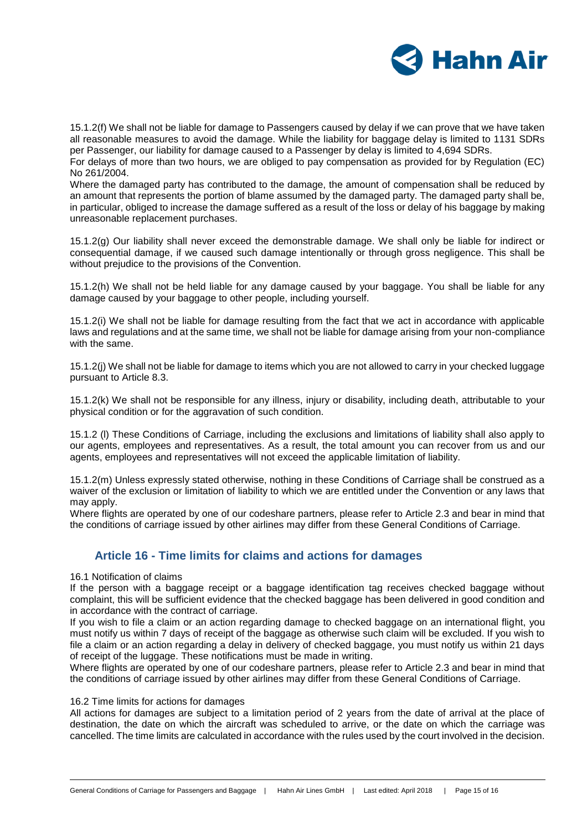

15.1.2(f) We shall not be liable for damage to Passengers caused by delay if we can prove that we have taken all reasonable measures to avoid the damage. While the liability for baggage delay is limited to 1131 SDRs per Passenger, our liability for damage caused to a Passenger by delay is limited to 4,694 SDRs.

For delays of more than two hours, we are obliged to pay compensation as provided for by Regulation (EC) No 261/2004.

Where the damaged party has contributed to the damage, the amount of compensation shall be reduced by an amount that represents the portion of blame assumed by the damaged party. The damaged party shall be, in particular, obliged to increase the damage suffered as a result of the loss or delay of his baggage by making unreasonable replacement purchases.

15.1.2(g) Our liability shall never exceed the demonstrable damage. We shall only be liable for indirect or consequential damage, if we caused such damage intentionally or through gross negligence. This shall be without prejudice to the provisions of the Convention.

15.1.2(h) We shall not be held liable for any damage caused by your baggage. You shall be liable for any damage caused by your baggage to other people, including yourself.

15.1.2(i) We shall not be liable for damage resulting from the fact that we act in accordance with applicable laws and regulations and at the same time, we shall not be liable for damage arising from your non-compliance with the same.

15.1.2(j) We shall not be liable for damage to items which you are not allowed to carry in your checked luggage pursuant to Article 8.3.

15.1.2(k) We shall not be responsible for any illness, injury or disability, including death, attributable to your physical condition or for the aggravation of such condition.

15.1.2 (l) These Conditions of Carriage, including the exclusions and limitations of liability shall also apply to our agents, employees and representatives. As a result, the total amount you can recover from us and our agents, employees and representatives will not exceed the applicable limitation of liability.

15.1.2(m) Unless expressly stated otherwise, nothing in these Conditions of Carriage shall be construed as a waiver of the exclusion or limitation of liability to which we are entitled under the Convention or any laws that may apply.

Where flights are operated by one of our codeshare partners, please refer to Article 2.3 and bear in mind that the conditions of carriage issued by other airlines may differ from these General Conditions of Carriage.

# **Article 16 - Time limits for claims and actions for damages**

## 16.1 Notification of claims

If the person with a baggage receipt or a baggage identification tag receives checked baggage without complaint, this will be sufficient evidence that the checked baggage has been delivered in good condition and in accordance with the contract of carriage.

If you wish to file a claim or an action regarding damage to checked baggage on an international flight, you must notify us within 7 days of receipt of the baggage as otherwise such claim will be excluded. If you wish to file a claim or an action regarding a delay in delivery of checked baggage, you must notify us within 21 days of receipt of the luggage. These notifications must be made in writing.

Where flights are operated by one of our codeshare partners, please refer to Article 2.3 and bear in mind that the conditions of carriage issued by other airlines may differ from these General Conditions of Carriage.

#### 16.2 Time limits for actions for damages

All actions for damages are subject to a limitation period of 2 years from the date of arrival at the place of destination, the date on which the aircraft was scheduled to arrive, or the date on which the carriage was cancelled. The time limits are calculated in accordance with the rules used by the court involved in the decision.